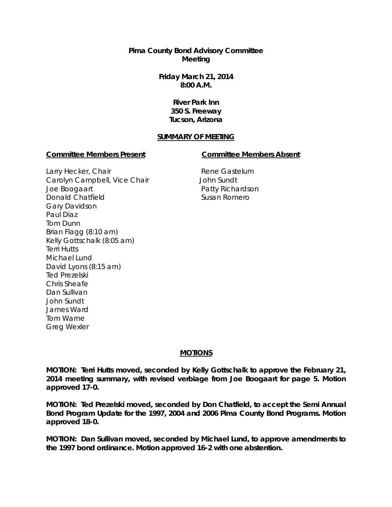**Pima County Bond Advisory Committee Meeting**

> **Friday March 21, 2014 8:00 A.M.**

> > **River Park Inn 350 S. Freeway Tucson, Arizona**

#### **SUMMARY OF MEETING**

#### **Committee Members Present Committee Members Absent**

Larry Hecker, Chair Carolyn Campbell, Vice Chair Joe Boogaart Donald Chatfield Gary Davidson Paul Diaz Tom Dunn Brian Flagg (8:10 am) Kelly Gottschalk (8:05 am) Terri Hutts Michael Lund David Lyons (8:15 am) Ted Prezelski Chris Sheafe Dan Sullivan John Sundt James Ward Tom Warne Greg Wexler

Rene Gastelum John Sundt Patty Richardson Susan Romero

#### **MOTIONS**

**MOTION: Terri Hutts moved, seconded by Kelly Gottschalk to approve the February 21, 2014 meeting summary, with revised verbiage from Joe Boogaart for page 5. Motion approved 17-0.**

**MOTION: Ted Prezelski moved, seconded by Don Chatfield, to accept the Semi Annual Bond Program Update for the 1997, 2004 and 2006 Pima County Bond Programs. Motion approved 18-0.**

**MOTION: Dan Sullivan moved, seconded by Michael Lund, to approve amendments to the 1997 bond ordinance. Motion approved 16-2 with one abstention.**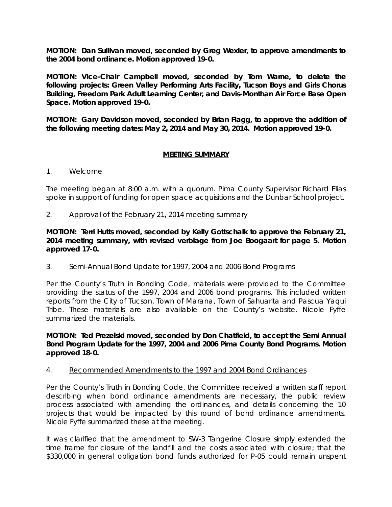**MOTION: Dan Sullivan moved, seconded by Greg Wexler, to approve amendments to the 2004 bond ordinance. Motion approved 19-0.**

**MOTION: Vice-Chair Campbell moved, seconded by Tom Warne, to delete the following projects: Green Valley Performing Arts Facility, Tucson Boys and Girls Chorus Building, Freedom Park Adult Learning Center, and Davis-Monthan Air Force Base Open Space. Motion approved 19-0.**

**MOTION: Gary Davidson moved, seconded by Brian Flagg, to approve the addition of the following meeting dates: May 2, 2014 and May 30, 2014. Motion approved 19-0.**

# **MEETING SUMMARY**

# 1. Welcome

The meeting began at 8:00 a.m. with a quorum. Pima County Supervisor Richard Elias spoke in support of funding for open space acquisitions and the Dunbar School project.

2. Approval of the February 21, 2014 meeting summary

# **MOTION: Terri Hutts moved, seconded by Kelly Gottschalk to approve the February 21, 2014 meeting summary, with revised verbiage from Joe Boogaart for page 5. Motion approved 17-0.**

# 3. Semi-Annual Bond Update for 1997, 2004 and 2006 Bond Programs

Per the County's Truth in Bonding Code, materials were provided to the Committee providing the status of the 1997, 2004 and 2006 bond programs. This included written reports from the City of Tucson, Town of Marana, Town of Sahuarita and Pascua Yaqui Tribe. These materials are also available on the County's website. Nicole Fyffe summarized the materials.

**MOTION: Ted Prezelski moved, seconded by Don Chatfield, to accept the Semi Annual Bond Program Update for the 1997, 2004 and 2006 Pima County Bond Programs. Motion approved 18-0.**

# 4. Recommended Amendments to the 1997 and 2004 Bond Ordinances

Per the County's Truth in Bonding Code, the Committee received a written staff report describing when bond ordinance amendments are necessary, the public review process associated with amending the ordinances, and details concerning the 10 projects that would be impacted by this round of bond ordinance amendments. Nicole Fyffe summarized these at the meeting.

It was clarified that the amendment to SW-3 Tangerine Closure simply extended the time frame for closure of the landfill and the costs associated with closure; that the \$330,000 in general obligation bond funds authorized for P-05 could remain unspent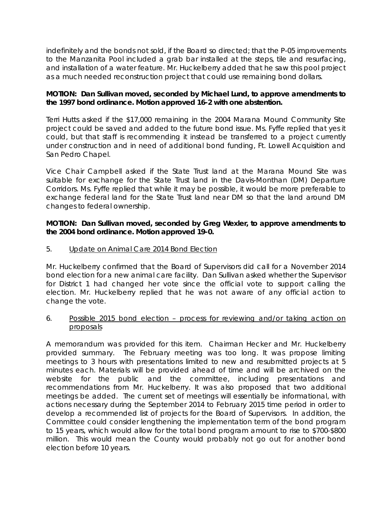indefinitely and the bonds not sold, if the Board so directed; that the P-05 improvements to the Manzanita Pool included a grab bar installed at the steps, tile and resurfacing, and installation of a water feature. Mr. Huckelberry added that he saw this pool project as a much needed reconstruction project that could use remaining bond dollars.

# **MOTION: Dan Sullivan moved, seconded by Michael Lund, to approve amendments to the 1997 bond ordinance. Motion approved 16-2 with one abstention.**

Terri Hutts asked if the \$17,000 remaining in the 2004 Marana Mound Community Site project could be saved and added to the future bond issue. Ms. Fyffe replied that yes it could, but that staff is recommending it instead be transferred to a project currently under construction and in need of additional bond funding, Ft. Lowell Acquisition and San Pedro Chapel.

Vice Chair Campbell asked if the State Trust land at the Marana Mound Site was suitable for exchange for the State Trust land in the Davis-Monthan (DM) Departure Corridors. Ms. Fyffe replied that while it may be possible, it would be more preferable to exchange federal land for the State Trust land near DM so that the land around DM changes to federal ownership.

# **MOTION: Dan Sullivan moved, seconded by Greg Wexler, to approve amendments to the 2004 bond ordinance. Motion approved 19-0.**

# 5. Update on Animal Care 2014 Bond Election

Mr. Huckelberry confirmed that the Board of Supervisors did call for a November 2014 bond election for a new animal care facility. Dan Sullivan asked whether the Supervisor for District 1 had changed her vote since the official vote to support calling the election. Mr. Huckelberry replied that he was not aware of any official action to change the vote.

# 6. Possible 2015 bond election – process for reviewing and/or taking action on proposals

A memorandum was provided for this item. Chairman Hecker and Mr. Huckelberry provided summary. The February meeting was too long. It was propose limiting meetings to 3 hours with presentations limited to new and resubmitted projects at 5 minutes each. Materials will be provided ahead of time and will be archived on the website for the public and the committee, including presentations and recommendations from Mr. Huckelberry. It was also proposed that two additional meetings be added. The current set of meetings will essentially be informational, with actions necessary during the September 2014 to February 2015 time period in order to develop a recommended list of projects for the Board of Supervisors. In addition, the Committee could consider lengthening the implementation term of the bond program to 15 years, which would allow for the total bond program amount to rise to \$700-\$800 million. This would mean the County would probably not go out for another bond election before 10 years.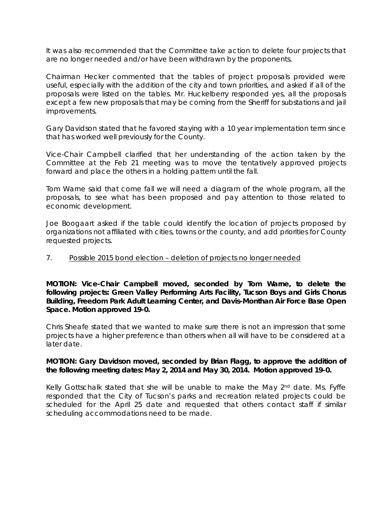It was also recommended that the Committee take action to delete four projects that are no longer needed and/or have been withdrawn by the proponents.

Chairman Hecker commented that the tables of project proposals provided were useful, especially with the addition of the city and town priorities, and asked if all of the proposals were listed on the tables. Mr. Huckelberry responded yes, all the proposals except a few new proposals that may be coming from the Sheriff for substations and jail improvements.

Gary Davidson stated that he favored staying with a 10 year implementation term since that has worked well previously for the County.

Vice-Chair Campbell clarified that her understanding of the action taken by the Committee at the Feb 21 meeting was to move the tentatively approved projects forward and place the others in a holding pattern until the fall.

Tom Warne said that come fall we will need a diagram of the whole program, all the proposals, to see what has been proposed and pay attention to those related to economic development.

Joe Boogaart asked if the table could identify the location of projects proposed by organizations not affiliated with cities, towns or the county, and add priorities for County requested projects.

# 7. Possible 2015 bond election – deletion of projects no longer needed

**MOTION: Vice-Chair Campbell moved, seconded by Tom Warne, to delete the following projects: Green Valley Performing Arts Facility, Tucson Boys and Girls Chorus Building, Freedom Park Adult Learning Center, and Davis-Monthan Air Force Base Open Space. Motion approved 19-0.**

Chris Sheafe stated that we wanted to make sure there is not an impression that some projects have a higher preference than others when all will have to be considered at a later date.

# **MOTION: Gary Davidson moved, seconded by Brian Flagg, to approve the addition of the following meeting dates: May 2, 2014 and May 30, 2014. Motion approved 19-0.**

Kelly Gottschalk stated that she will be unable to make the May 2<sup>nd</sup> date. Ms. Fyffe responded that the City of Tucson's parks and recreation related projects could be scheduled for the April 25 date and requested that others contact staff if similar scheduling accommodations need to be made.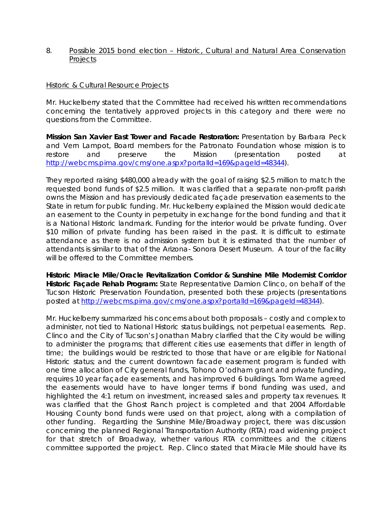# 8. Possible 2015 bond election – Historic, Cultural and Natural Area Conservation **Projects**

#### Historic & Cultural Resource Projects

Mr. Huckelberry stated that the Committee had received his written recommendations concerning the tentatively approved projects in this category and there were no questions from the Committee.

**Mission San Xavier East Tower and Facade Restoration:** Presentation by Barbara Peck and Vern Lampot, Board members for the Patronato Foundation whose mission is to restore and preserve the Mission (presentation posted at [http://webcms.pima.gov/cms/one.aspx?portalId=169&pageId=48344\)](http://webcms.pima.gov/cms/one.aspx?portalId=169&pageId=48344).

They reported raising \$480,000 already with the goal of raising \$2.5 million to match the requested bond funds of \$2.5 million. It was clarified that a separate non-profit parish owns the Mission and has previously dedicated façade preservation easements to the State in return for public funding. Mr. Huckelberry explained the Mission would dedicate an easement to the County in perpetuity in exchange for the bond funding and that it is a National Historic landmark. Funding for the interior would be private funding. Over \$10 million of private funding has been raised in the past. It is difficult to estimate attendance as there is no admission system but it is estimated that the number of attendants is similar to that of the Arizona- Sonora Desert Museum. A tour of the facility will be offered to the Committee members.

**Historic Miracle Mile/Oracle Revitalization Corridor & Sunshine Mile Modernist Corridor Historic Façade Rehab Program:** State Representative Damion Clinco, on behalf of the Tucson Historic Preservation Foundation, presented both these projects (presentations posted at [http://webcms.pima.gov/cms/one.aspx?portalId=169&pageId=48344\)](http://webcms.pima.gov/cms/one.aspx?portalId=169&pageId=48344).

Mr. Huckelberry summarized his concerns about both proposals – costly and complex to administer, not tied to National Historic status buildings, not perpetual easements. Rep. Clinco and the City of Tucson's Jonathan Mabry clarified that the City would be willing to administer the programs; that different cities use easements that differ in length of time; the buildings would be restricted to those that have or are eligible for National Historic status; and the current downtown facade easement program is funded with one time allocation of City general funds, Tohono O'odham grant and private funding, requires 10 year façade easements, and has improved 6 buildings. Tom Warne agreed the easements would have to have longer terms if bond funding was used, and highlighted the 4:1 return on investment, increased sales and property tax revenues. It was clarified that the Ghost Ranch project is completed and that 2004 Affordable Housing County bond funds were used on that project, along with a compilation of other funding. Regarding the Sunshine Mile/Broadway project, there was discussion concerning the planned Regional Transportation Authority (RTA) road widening project for that stretch of Broadway, whether various RTA committees and the citizens committee supported the project. Rep. Clinco stated that Miracle Mile should have its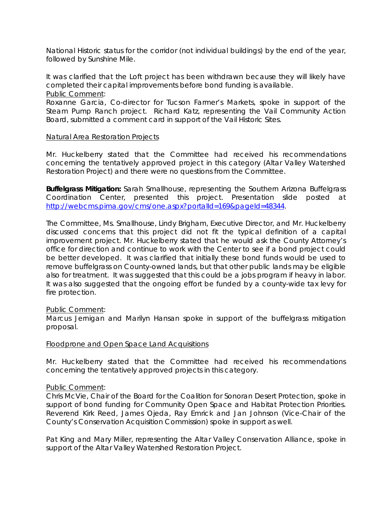National Historic status for the corridor (not individual buildings) by the end of the year, followed by Sunshine Mile.

It was clarified that the Loft project has been withdrawn because they will likely have completed their capital improvements before bond funding is available. Public Comment:

Roxanne Garcia, Co-director for Tucson Farmer's Markets, spoke in support of the Steam Pump Ranch project. Richard Katz, representing the Vail Community Action Board, submitted a comment card in support of the Vail Historic Sites.

#### Natural Area Restoration Projects

Mr. Huckelberry stated that the Committee had received his recommendations concerning the tentatively approved project in this category (Altar Valley Watershed Restoration Project) and there were no questions from the Committee.

**Buffelgrass Mitigation:** Sarah Smallhouse, representing the Southern Arizona Buffelgrass Coordination Center, presented this project. Presentation slide posted at [http://webcms.pima.gov/cms/one.aspx?portalId=169&pageId=48344.](http://webcms.pima.gov/cms/one.aspx?portalId=169&pageId=48344)

The Committee, Ms. Smallhouse, Lindy Brigham, Executive Director, and Mr. Huckelberry discussed concerns that this project did not fit the typical definition of a capital improvement project. Mr. Huckelberry stated that he would ask the County Attorney's office for direction and continue to work with the Center to see if a bond project could be better developed. It was clarified that initially these bond funds would be used to remove buffelgrass on County-owned lands, but that other public lands may be eligible also for treatment. It was suggested that this could be a jobs program if heavy in labor. It was also suggested that the ongoing effort be funded by a county-wide tax levy for fire protection.

#### Public Comment:

Marcus Jernigan and Marilyn Hansan spoke in support of the buffelgrass mitigation proposal.

# Floodprone and Open Space Land Acquisitions

Mr. Huckelberry stated that the Committee had received his recommendations concerning the tentatively approved projects in this category.

# Public Comment:

Chris McVie, Chair of the Board for the Coalition for Sonoran Desert Protection, spoke in support of bond funding for Community Open Space and Habitat Protection Priorities. Reverend Kirk Reed, James Ojeda, Ray Emrick and Jan Johnson (Vice-Chair of the County's Conservation Acquisition Commission) spoke in support as well.

Pat King and Mary Miller, representing the Altar Valley Conservation Alliance, spoke in support of the Altar Valley Watershed Restoration Project.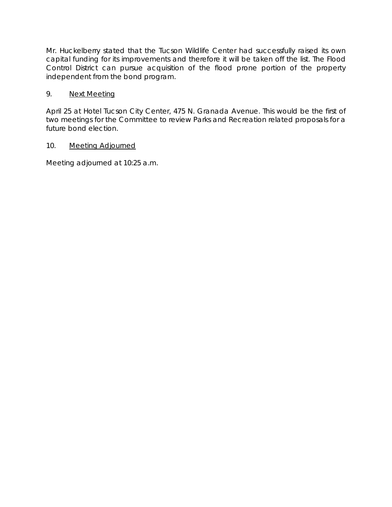Mr. Huckelberry stated that the Tucson Wildlife Center had successfully raised its own capital funding for its improvements and therefore it will be taken off the list. The Flood Control District can pursue acquisition of the flood prone portion of the property independent from the bond program.

# 9. Next Meeting

April 25 at Hotel Tucson City Center, 475 N. Granada Avenue. This would be the first of two meetings for the Committee to review Parks and Recreation related proposals for a future bond election.

# 10. Meeting Adjourned

Meeting adjourned at 10:25 a.m.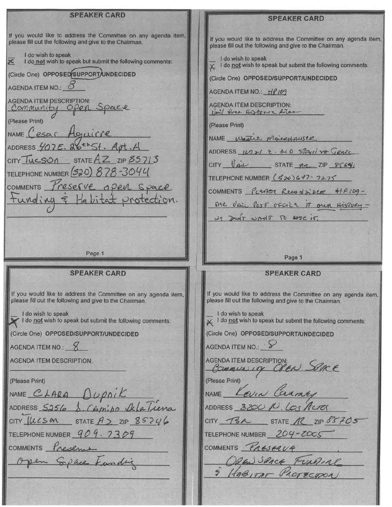| <b>SPEAKER CARD</b>                                                                                                                                                                                                                                                                                                                                                                                                                                                                                                                                                                                                               | <b>SPEAKER CARD</b>                                                                                                                                                                                                                                                                                                                                                                                                                                                                                                                                                                                                            |
|-----------------------------------------------------------------------------------------------------------------------------------------------------------------------------------------------------------------------------------------------------------------------------------------------------------------------------------------------------------------------------------------------------------------------------------------------------------------------------------------------------------------------------------------------------------------------------------------------------------------------------------|--------------------------------------------------------------------------------------------------------------------------------------------------------------------------------------------------------------------------------------------------------------------------------------------------------------------------------------------------------------------------------------------------------------------------------------------------------------------------------------------------------------------------------------------------------------------------------------------------------------------------------|
| If you would like to address the Committee on any agenda item,<br>please fill out the following and give to the Chairman.<br>I do wish to speak<br>$\overline{\mathsf{x}}$<br>I do not wish to speak but submit the following comments:<br>(Circle One) OPPOSED SUPPORT UNDECIDED<br>AGENDA ITEM NO.: 0<br><b>AGENDA ITEM DESCRIPTION:</b><br>Community open Space<br>(Please Print)<br>NAME Cesar Aguirre<br>ADDRESS 407E. 26 <sup>th</sup> St. Apt. 4<br>$CITY$ $TUCSOM$ $STATE \underline{AZ}$ $ZIP \underline{Z5713}$<br>TELEPHONE NUMBER (520) $878 - 3044$<br>COMMENTS Preserve open space<br>Funding & Habitat protection. | If you would like to address the Committee on any agenda item<br>please fill out the following and give to the Chairman.<br>I do wish to speak<br>I do not wish to speak but submit the following comments:<br>(Circle One) OPPOSED/SUPPORT/UNDECIDED<br>AGENDA ITEM NO.: HP109<br><b>AGENDA ITEM DESCRIPTION:</b><br>Vail Area Historic Ailes<br>(Please Print)<br>NAME Whate MaierHouser<br>ADDRESS 16721 E. GLD SCarli rtt GRATC<br>$CITY$ $V_{QU}$ STATE $\pi z$ ZIP $8564l$<br>TELEPHONE NUMBER (520)647-7275<br>COMMENTS PLEASE RECOMMENTS #1P109-<br>The Vair Post office is one History -<br>WE DON'T WANT TO SOSC IT. |
| Page 1                                                                                                                                                                                                                                                                                                                                                                                                                                                                                                                                                                                                                            | Page 1                                                                                                                                                                                                                                                                                                                                                                                                                                                                                                                                                                                                                         |
| <b>SPEAKER CARD</b>                                                                                                                                                                                                                                                                                                                                                                                                                                                                                                                                                                                                               | <b>SPEAKER CARD</b>                                                                                                                                                                                                                                                                                                                                                                                                                                                                                                                                                                                                            |
| If you would like to address the Committee on any agenda item,<br>please fill out the following and give to the Chairman.<br>I do wish to speak<br>I do not wish to speak but submit the following comments:<br>(Circle One) OPPOSED/SUPPORT/UNDECIDED<br>AGENDA ITEM NO.: 8<br><b>AGENDA ITEM DESCRIPTION:</b><br>(Please Print)<br>NAME CLARA DUPAIK<br>ADDRESS 5256 S. Camino Dela Tiena<br>CITY $ UCSM$ STATE $A$ 2 ZIP 85246<br>TELEPHONE NUMBER $909.7309$<br>COMMENTS Presence                                                                                                                                             | If you would like to address the Committee on any agenda item,<br>please fill out the following and give to the Chairman.<br>I do wish to speak<br>1 do not wish to speak but submit the following comments:<br>(Circle One) OPPOSED/SUPPORT/UNDECIDED<br>AGENDA ITEM NO.: 8<br><b>AGENDA ITEM DESCRIPTION:</b><br>Community OPEN SIRE<br>(Please Print)<br>NAME Levin Carney<br>ADDRESS 3200 P. Los Acros<br>CITY TSA STATE 12 ZIP 85705<br>TELEPHONE NUMBER 204-2005<br>COMMENTS PRESERVE                                                                                                                                    |
| Ipen Exace Funding                                                                                                                                                                                                                                                                                                                                                                                                                                                                                                                                                                                                                | DREN SPACE FURATIAL                                                                                                                                                                                                                                                                                                                                                                                                                                                                                                                                                                                                            |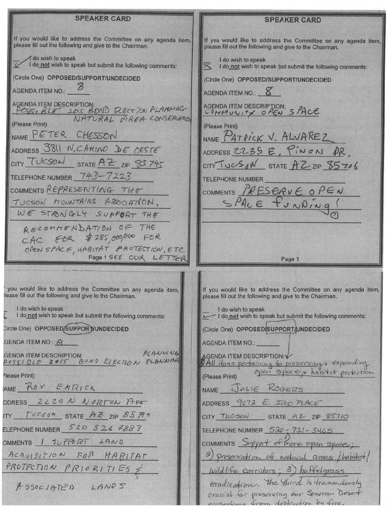**SPEAKER CARD SPEAKER CARD** If you would like to address the Committee on any agenda item, If you would like to address the Committee on any agenda item, please fill out the following and give to the Chairman. please fill out the following and give to the Chairman. **Tdo wish to speak** I do wish to speak I do not wish to speak but submit the following comments:  $\overline{\times}$  I do not wish to speak but submit the following comments: (Circle One) OPPOSED/SUPPORT/UNDECIDED (Circle One) OPPOSED/SUPPORT/UNDECIDED AGENDA ITEM NO.: 3 AGENDA ITEM NO.: 8 AGENDA ITEM DESCRIPTION:<br>PESSI BLE 2015 BOND ELECTION PLANNING AGENDA ITEM DESCRIPTION: SPACE (Please Print) (Please Print) NAME PETER CHESSON NAME PATRICK V. ALVAREZ ADDRESS 3811 N. CAHINO DE OESTE ADDRESS 2235 E, PINON PR CITY TUCSON STATE AZ ZIP 85745  $CITYTUCS_{\delta}W$  STATE  $ACZIP$   $55706$ TELEPHONE NUMBER 743-7223 **TELEPHONE NUMBER** COMMENTS REPRESENTING THE COMMENTS PRESERVE OPEN SPACE funding TUCSON MOUNTAINS ASSOCATION. WE STRONGLY SUPPERT THE RECOMMENDATION OF THE CAC FOR \$285,000,000 FOR OPEN SPACE, HABITAT PROTECTION, ETC Page 1 SEE OUR LETTER Page 1 you would like to address the Committee on any agenda item, If you would like to address the Committee on any agenda item, lease fill out the following and give to the Chairman. please fill out the following and give to the Chairman. I do wish to speak I do wish to speak I do not wish to speak but submit the following comments: I do not wish to speak but submit the following comments: Circle One) OPPOSED/SUPPORT/UNDECIDED (Circle One) OPPOSED/SUPPORT/UNDECIDED GENDA ITEM NO.: A **AGENDA ITEM NO.:** PLANNING CENDA ITEM DESCRIPTION: PLANWING AGENDA ITEM DESCRIPTION: All items pertaining to preserving + expanding Please Print) (Please Print) AME ROY EMRICK NAME JULIE ROGERS DDRESS 2220 N NORTON AVE ADDRESS 9072 E. IGO PLACE ITY TUCSON STATE AZ ZIP 85 79 CITY TUCSON STATE AZ ZIP 85710 ELEPHONE NUMBER 520 326 7887 TELEPHONE NUMBER 520 - 721 - 3465 COMMENTS Support of more open space; OMMENTS I JUPPORT LAND 3) preservation of nothiral areas /habitat/ ACQUISITION FOR HARITAT

PROTECTION PRIORITIES E

A SSOCIATED LANDS

Wildlife corridors; 3) buffelgrass evadication. the third is tremendously crucial for preserving our Senaran Desert progrademe from destruction by fire.